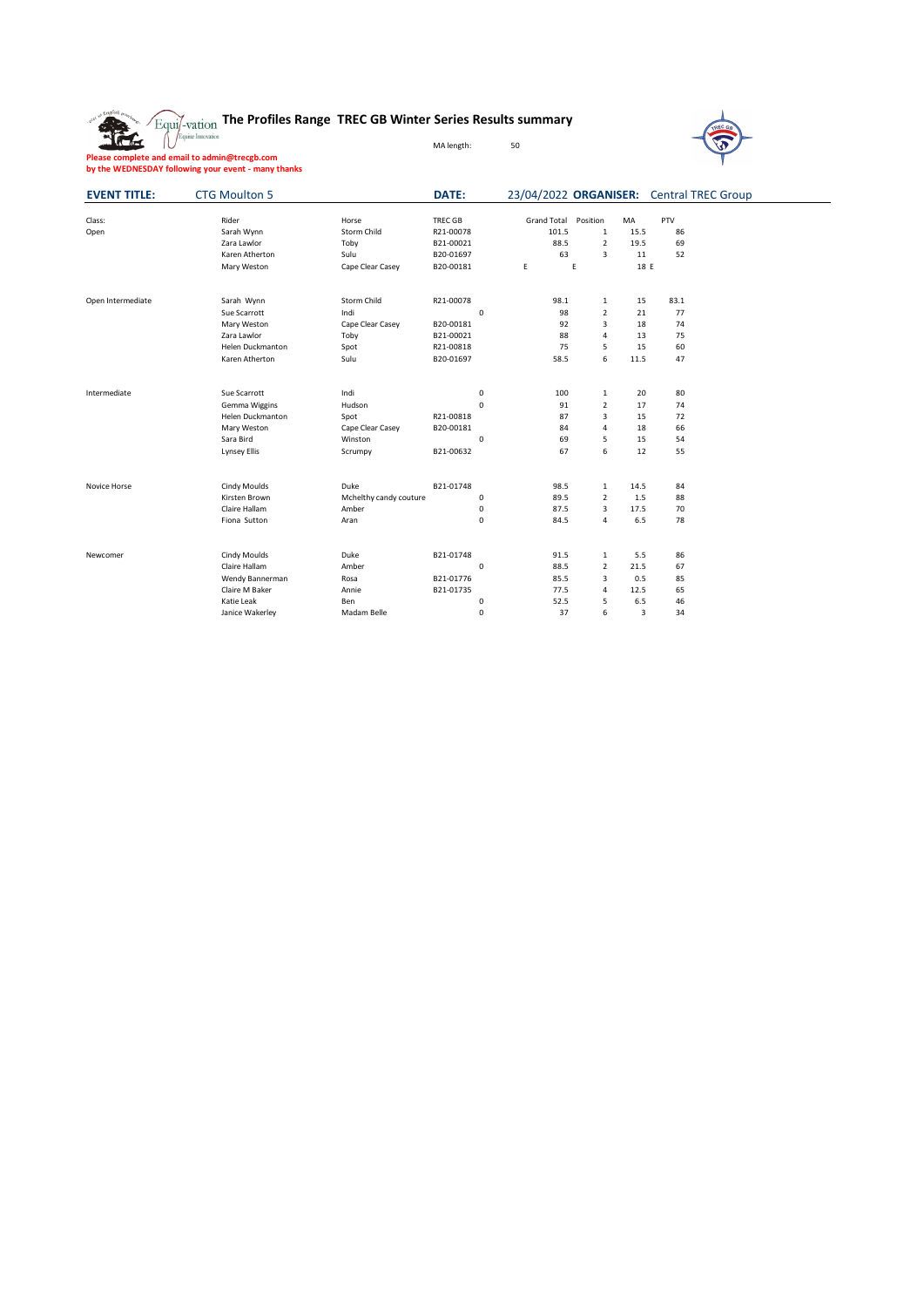## **The Profiles Range TREC GB Winter Series Results summary**

MA length: 50



**Please complete and email to admin@trecgb.com by the WEDNESDAY following your event - many thanks**

雅

| <b>EVENT TITLE:</b> | <b>CTG Moulton 5</b>    |                        | DATE:          |                      | 23/04/2022 ORGANISER: Central TREC Group |            |  |
|---------------------|-------------------------|------------------------|----------------|----------------------|------------------------------------------|------------|--|
| Class:              | Rider                   | Horse                  | <b>TREC GB</b> | Grand Total Position | MA                                       | PTV        |  |
| Open                | Sarah Wynn              | Storm Child            | R21-00078      | 101.5                | $\mathbf{1}$                             | 86<br>15.5 |  |
|                     | Zara Lawlor             | Toby                   | B21-00021      | 88.5                 | $\overline{2}$                           | 19.5<br>69 |  |
|                     | Karen Atherton          | Sulu                   | B20-01697      | 63                   | 3                                        | 11<br>52   |  |
|                     | Mary Weston             | Cape Clear Casey       | B20-00181      | E                    | E                                        | 18 E       |  |
| Open Intermediate   | Sarah Wynn              | Storm Child            | R21-00078      | 98.1                 | $\mathbf{1}$                             | 83.1<br>15 |  |
|                     | Sue Scarrott            | Indi                   | $\mathsf 0$    | 98                   | $\overline{2}$                           | 21<br>77   |  |
|                     | Mary Weston             | Cape Clear Casey       | B20-00181      | 92                   | 3                                        | 18<br>74   |  |
|                     | Zara Lawlor             | Toby                   | B21-00021      | 88                   | 4                                        | 13<br>75   |  |
|                     | <b>Helen Duckmanton</b> | Spot                   | R21-00818      | 75                   | 5                                        | 15<br>60   |  |
|                     | Karen Atherton          | Sulu                   | B20-01697      | 58.5                 | 6                                        | 11.5<br>47 |  |
| Intermediate        | Sue Scarrott            | Indi                   | $\mathbf 0$    | 100                  | 1                                        | 20<br>80   |  |
|                     | Gemma Wiggins           | Hudson                 | $\mathbf 0$    | 91                   | $\overline{2}$                           | 17<br>74   |  |
|                     | Helen Duckmanton        | Spot                   | R21-00818      | 87                   | 3                                        | 15<br>72   |  |
|                     | Mary Weston             | Cape Clear Casey       | B20-00181      | 84                   | 4                                        | 66<br>18   |  |
|                     | Sara Bird               | Winston                | $\mathsf 0$    | 69                   | 5                                        | 15<br>54   |  |
|                     | Lynsey Ellis            | Scrumpy                | B21-00632      | 67                   | 6                                        | 12<br>55   |  |
| Novice Horse        | Cindy Moulds            | Duke                   | B21-01748      | 98.5                 | $\mathbf{1}$                             | 14.5<br>84 |  |
|                     | Kirsten Brown           | Mchelthy candy couture | $\mathsf 0$    | 89.5                 | $\overline{2}$                           | 1.5<br>88  |  |
|                     | Claire Hallam           | Amber                  | $\mathsf 0$    | 87.5                 | 3                                        | 17.5<br>70 |  |
|                     | Fiona Sutton            | Aran                   | $\mathbf 0$    | 84.5                 | 4                                        | 6.5<br>78  |  |
| Newcomer            | Cindy Moulds            | Duke                   | B21-01748      | 91.5                 | 1                                        | 5.5<br>86  |  |
|                     | Claire Hallam           | Amber                  | $\mathsf 0$    | 88.5                 | $\overline{2}$                           | 67<br>21.5 |  |
|                     | Wendy Bannerman         | Rosa                   | B21-01776      | 85.5                 | 3                                        | 0.5<br>85  |  |
|                     | Claire M Baker          | Annie                  | B21-01735      | 77.5                 | 4                                        | 12.5<br>65 |  |
|                     | Katie Leak              | Ben                    | $\mathsf 0$    | 52.5                 | 5                                        | 6.5<br>46  |  |
|                     | Janice Wakerley         | Madam Belle            | $\mathbf 0$    | 37                   | 6                                        | 3<br>34    |  |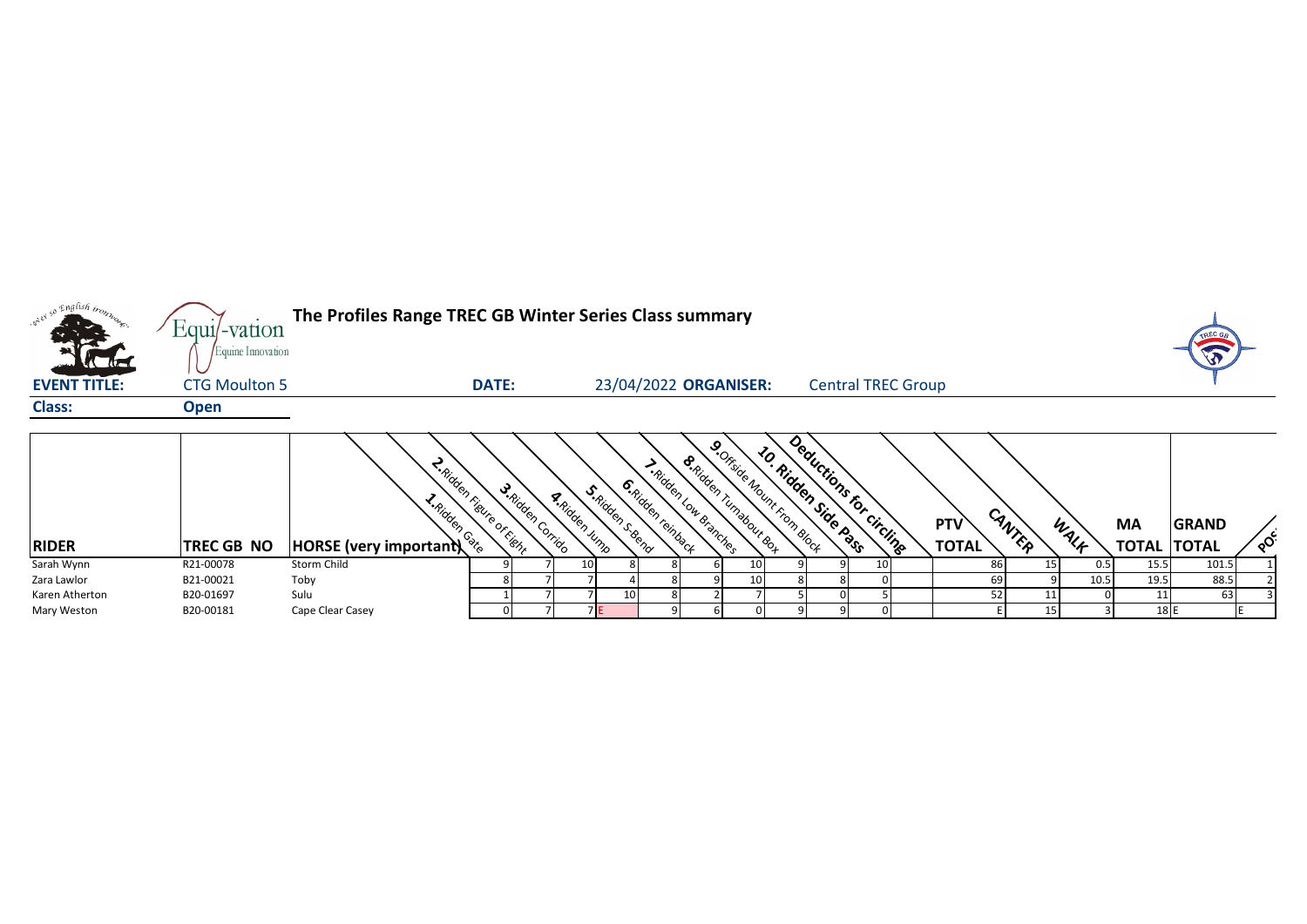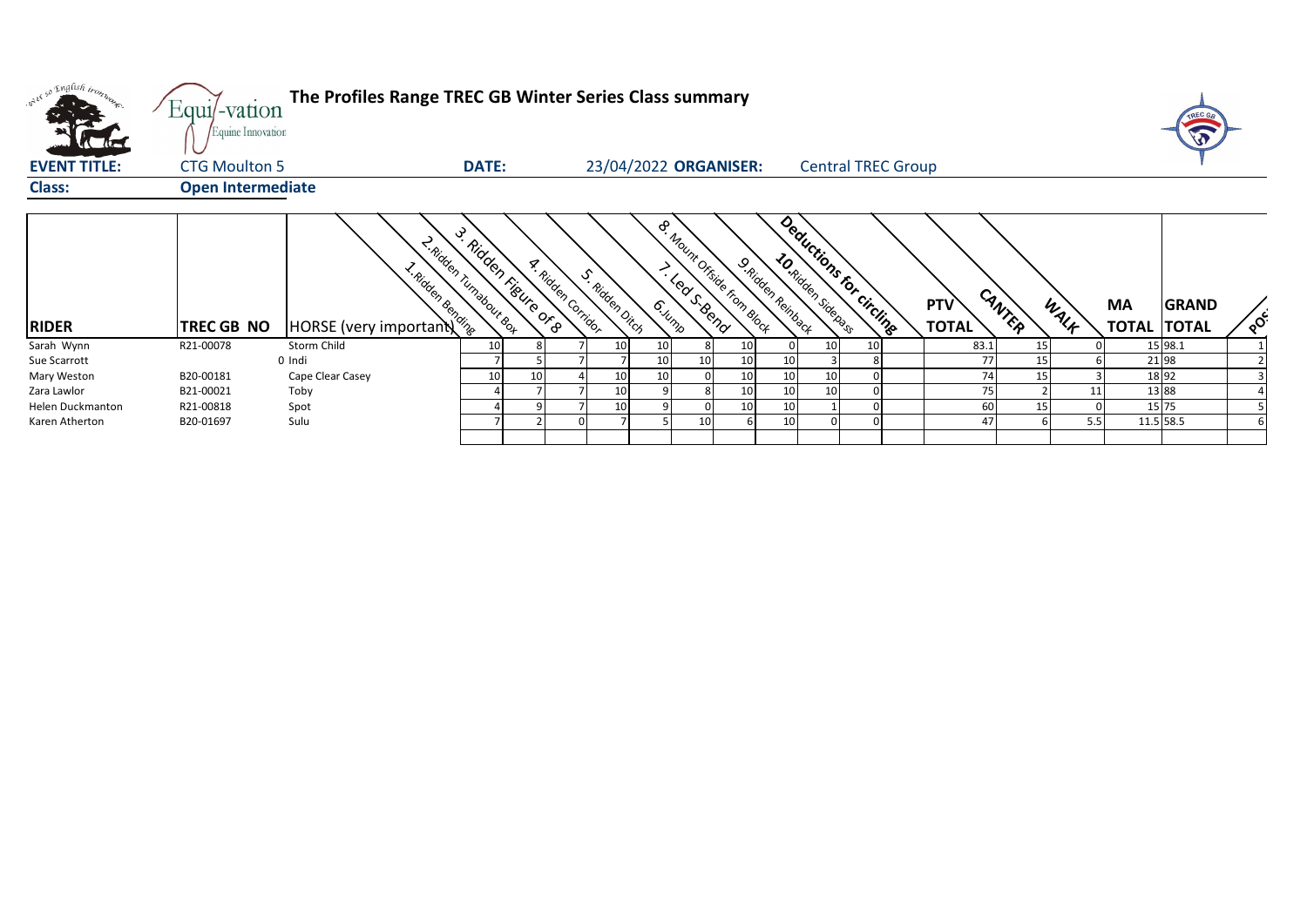| and so English trong | Equi/-vation<br>Equine Innovation | The Profiles Range TREC GB Winter Series Class summary                           |              |                       |                           |                 |                       |                                   |    |                   |                           |                           |                            |        |      |                                 | TREC G       |          |
|----------------------|-----------------------------------|----------------------------------------------------------------------------------|--------------|-----------------------|---------------------------|-----------------|-----------------------|-----------------------------------|----|-------------------|---------------------------|---------------------------|----------------------------|--------|------|---------------------------------|--------------|----------|
| <b>EVENT TITLE:</b>  | <b>CTG Moulton 5</b>              |                                                                                  | <b>DATE:</b> |                       |                           |                 | 23/04/2022 ORGANISER: |                                   |    |                   |                           | <b>Central TREC Group</b> |                            |        |      |                                 |              |          |
| <b>Class:</b>        | <b>Open Intermediate</b>          |                                                                                  |              |                       |                           |                 |                       |                                   |    |                   |                           |                           |                            |        |      |                                 |              |          |
| <b>RIDER</b>         | TREC GB NO                        | 2-Ridden Tumabour Box<br><b>Exercise COVER CONTROL</b><br>HORSE (very important) |              | 3. Ridden rieure or a | <b>A.</b> Ridden Corridor | S. Ridden Ditch | 6. Junp               | <b>P. Mount Office From Block</b> |    | 9. Riden Reinback | <b>JO.Ridden Strenges</b> | Deductions for circlings  | <b>PTV</b><br><b>TOTAL</b> | CANTER | WALF | <b>MA</b><br><b>TOTAL TOTAL</b> | <b>GRAND</b> | $\delta$ |
| Sarah Wynn           | R21-00078                         | Storm Child                                                                      | 10           |                       |                           | 10              | 10                    |                                   | 10 |                   |                           |                           | 83.1                       | 15     |      |                                 | 15 98.1      |          |
| Sue Scarrott         |                                   | 0 Indi                                                                           |              |                       |                           |                 | 10                    | 10                                | 10 |                   |                           |                           | 77                         |        |      | 21 98                           |              |          |
| Mary Weston          | B20-00181                         | Cape Clear Casey                                                                 | 10           | 10                    |                           | 10              | 10                    |                                   | 10 | 10                | 10                        |                           | 74                         | 15     |      | 18 92                           |              |          |
| Zara Lawlor          | B21-00021                         | Toby                                                                             |              |                       |                           | 10              |                       |                                   | 10 |                   | 10                        |                           | 75                         |        |      | 13 88                           |              |          |
| Helen Duckmanton     | R21-00818                         | Spot                                                                             |              |                       |                           | 10              |                       |                                   | 10 |                   |                           |                           | 60                         |        |      | 15 75                           |              |          |
| Karen Atherton       | B20-01697                         | Sulu                                                                             |              |                       |                           |                 |                       | 10                                |    |                   |                           |                           | 47                         |        | 5.5  | 11.5 58.5                       |              |          |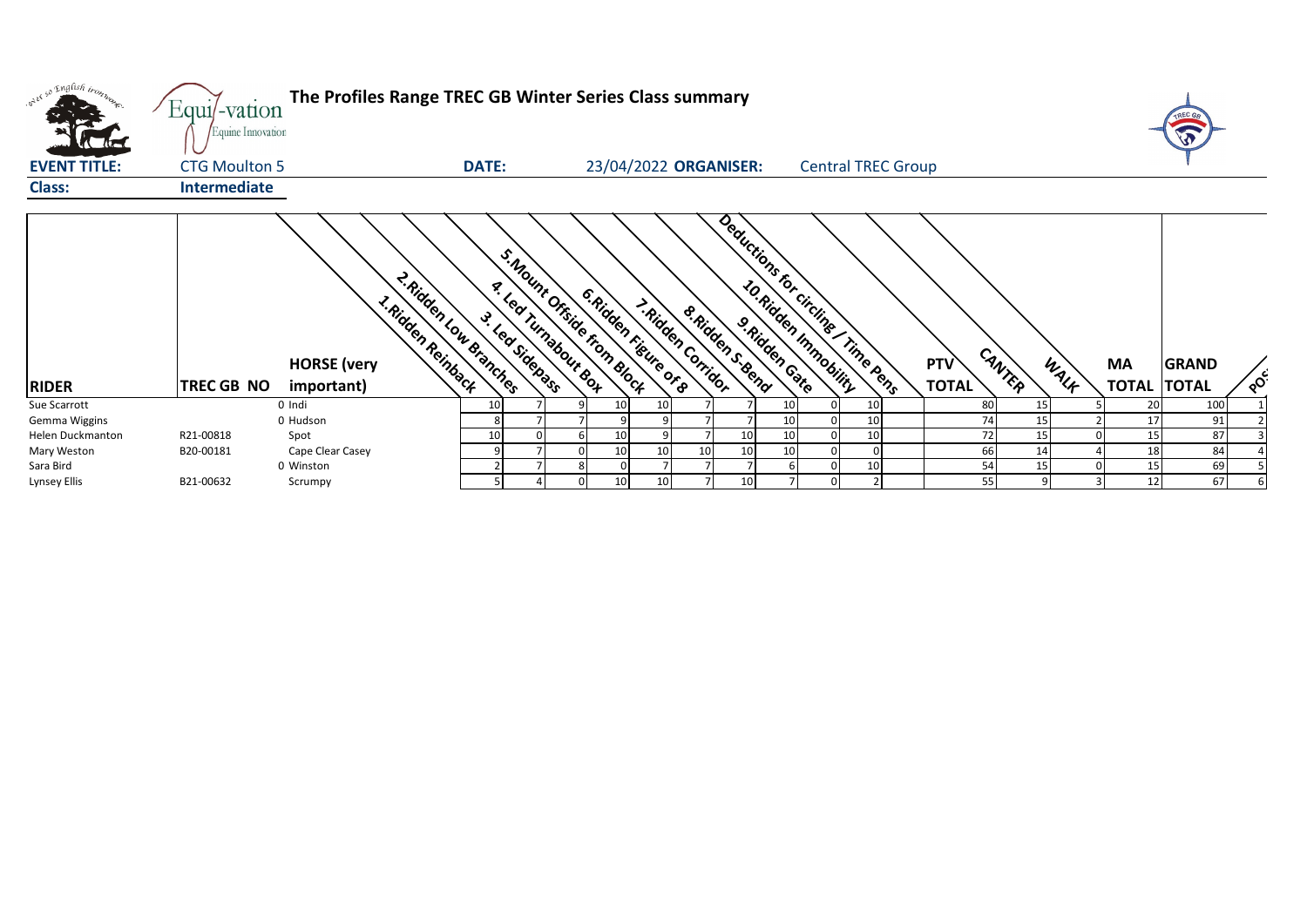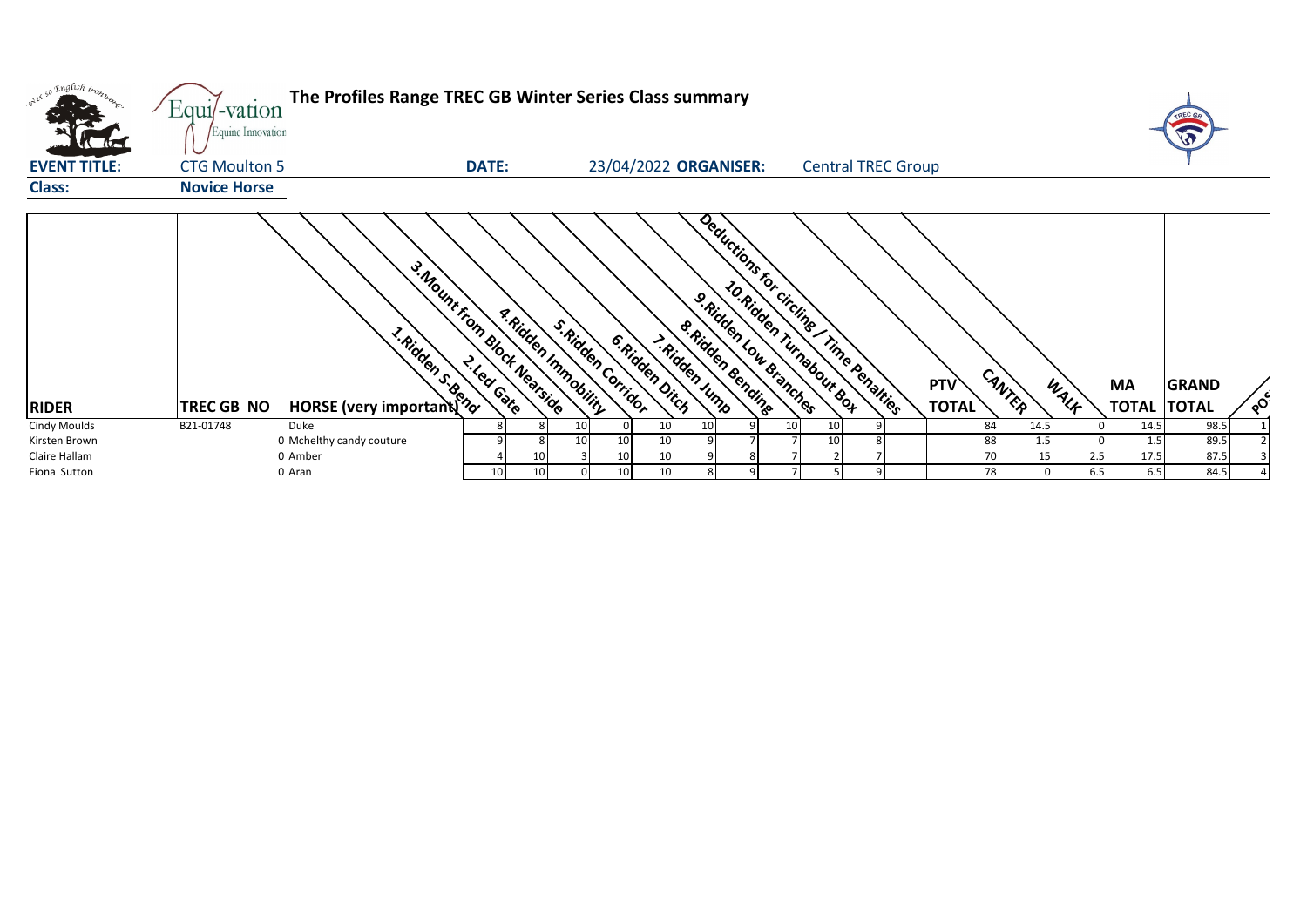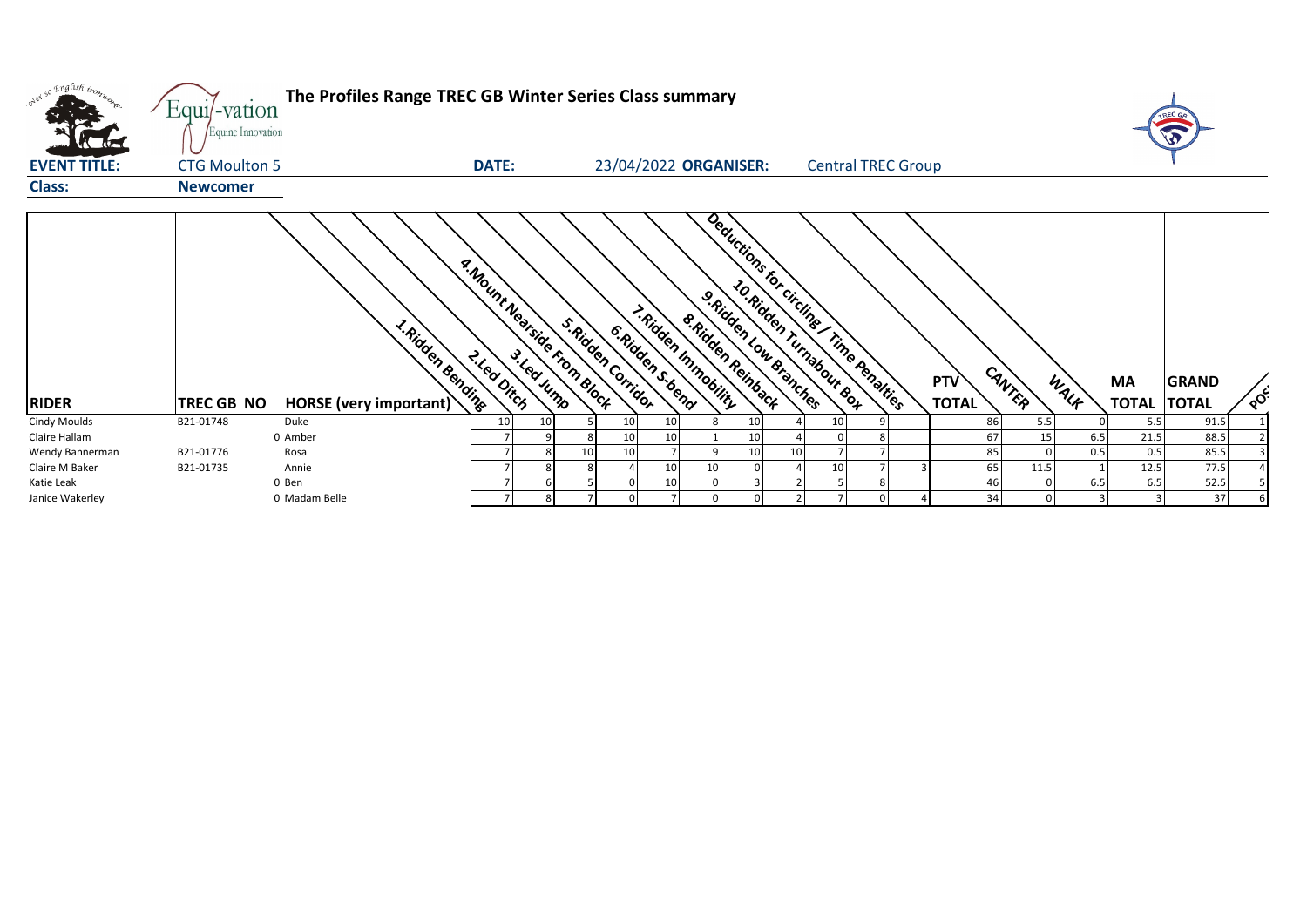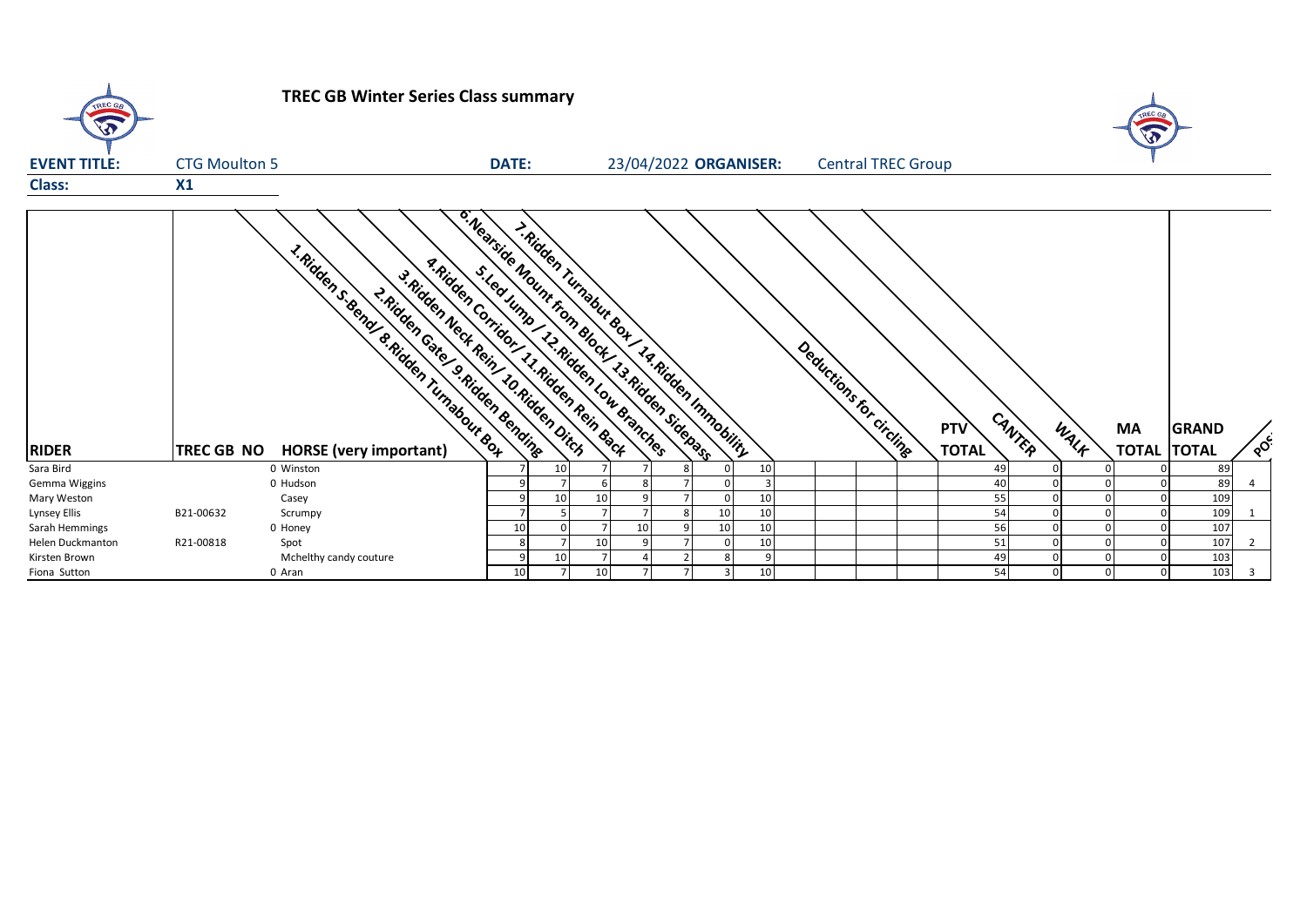